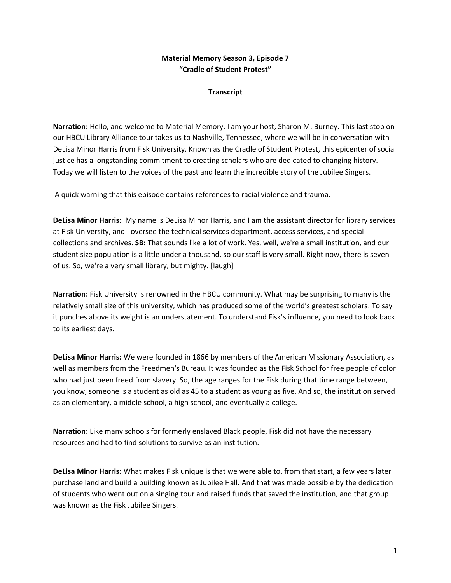## **Material Memory Season 3, Episode 7 "Cradle of Student Protest"**

## **Transcript**

**Narration:** Hello, and welcome to Material Memory. I am your host, Sharon M. Burney. This last stop on our HBCU Library Alliance tour takes us to Nashville, Tennessee, where we will be in conversation with DeLisa Minor Harris from Fisk University. Known as the Cradle of Student Protest, this epicenter of social justice has a longstanding commitment to creating scholars who are dedicated to changing history. Today we will listen to the voices of the past and learn the incredible story of the Jubilee Singers.

A quick warning that this episode contains references to racial violence and trauma.

**DeLisa Minor Harris:** My name is DeLisa Minor Harris, and I am the assistant director for library services at Fisk University, and I oversee the technical services department, access services, and special collections and archives. **SB:** That sounds like a lot of work. Yes, well, we're a small institution, and our student size population is a little under a thousand, so our staff is very small. Right now, there is seven of us. So, we're a very small library, but mighty. [laugh]

**Narration:** Fisk University is renowned in the HBCU community. What may be surprising to many is the relatively small size of this university, which has produced some of the world's greatest scholars. To say it punches above its weight is an understatement. To understand Fisk's influence, you need to look back to its earliest days.

**DeLisa Minor Harris:** We were founded in 1866 by members of the American Missionary Association, as well as members from the Freedmen's Bureau. It was founded as the Fisk School for free people of color who had just been freed from slavery. So, the age ranges for the Fisk during that time range between, you know, someone is a student as old as 45 to a student as young as five. And so, the institution served as an elementary, a middle school, a high school, and eventually a college.

**Narration:** Like many schools for formerly enslaved Black people, Fisk did not have the necessary resources and had to find solutions to survive as an institution.

**DeLisa Minor Harris:** What makes Fisk unique is that we were able to, from that start, a few years later purchase land and build a building known as Jubilee Hall. And that was made possible by the dedication of students who went out on a singing tour and raised funds that saved the institution, and that group was known as the Fisk Jubilee Singers.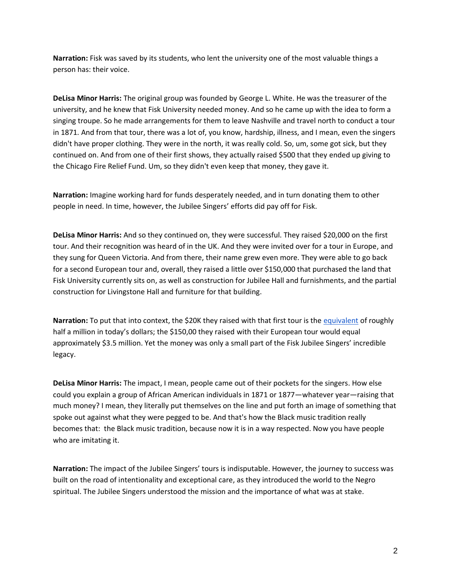**Narration:** Fisk was saved by its students, who lent the university one of the most valuable things a person has: their voice.

**DeLisa Minor Harris:** The original group was founded by George L. White. He was the treasurer of the university, and he knew that Fisk University needed money. And so he came up with the idea to form a singing troupe. So he made arrangements for them to leave Nashville and travel north to conduct a tour in 1871. And from that tour, there was a lot of, you know, hardship, illness, and I mean, even the singers didn't have proper clothing. They were in the north, it was really cold. So, um, some got sick, but they continued on. And from one of their first shows, they actually raised \$500 that they ended up giving to the Chicago Fire Relief Fund. Um, so they didn't even keep that money, they gave it.

**Narration:** Imagine working hard for funds desperately needed, and in turn donating them to other people in need. In time, however, the Jubilee Singers' efforts did pay off for Fisk.

**DeLisa Minor Harris:** And so they continued on, they were successful. They raised \$20,000 on the first tour. And their recognition was heard of in the UK. And they were invited over for a tour in Europe, and they sung for Queen Victoria. And from there, their name grew even more. They were able to go back for a second European tour and, overall, they raised a little over \$150,000 that purchased the land that Fisk University currently sits on, as well as construction for Jubilee Hall and furnishments, and the partial construction for Livingstone Hall and furniture for that building.

**Narration:** To put that into context, the \$20K they raised with that first tour is the [equivalent](https://www.officialdata.org/us/inflation/) of roughly half a million in today's dollars; the \$150,00 they raised with their European tour would equal approximately \$3.5 million. Yet the money was only a small part of the Fisk Jubilee Singers' incredible legacy.

**DeLisa Minor Harris:** The impact, I mean, people came out of their pockets for the singers. How else could you explain a group of African American individuals in 1871 or 1877—whatever year—raising that much money? I mean, they literally put themselves on the line and put forth an image of something that spoke out against what they were pegged to be. And that's how the Black music tradition really becomes that: the Black music tradition, because now it is in a way respected. Now you have people who are imitating it.

**Narration:** The impact of the Jubilee Singers' tours is indisputable. However, the journey to success was built on the road of intentionality and exceptional care, as they introduced the world to the Negro spiritual. The Jubilee Singers understood the mission and the importance of what was at stake.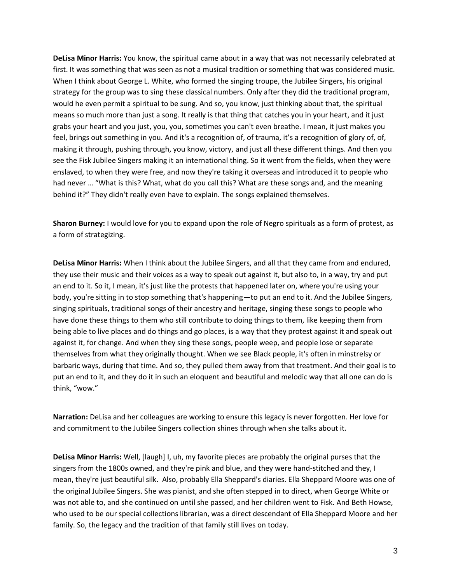**DeLisa Minor Harris:** You know, the spiritual came about in a way that was not necessarily celebrated at first. It was something that was seen as not a musical tradition or something that was considered music. When I think about George L. White, who formed the singing troupe, the Jubilee Singers, his original strategy for the group was to sing these classical numbers. Only after they did the traditional program, would he even permit a spiritual to be sung. And so, you know, just thinking about that, the spiritual means so much more than just a song. It really is that thing that catches you in your heart, and it just grabs your heart and you just, you, you, sometimes you can't even breathe. I mean, it just makes you feel, brings out something in you. And it's a recognition of, of trauma, it's a recognition of glory of, of, making it through, pushing through, you know, victory, and just all these different things. And then you see the Fisk Jubilee Singers making it an international thing. So it went from the fields, when they were enslaved, to when they were free, and now they're taking it overseas and introduced it to people who had never … "What is this? What, what do you call this? What are these songs and, and the meaning behind it?" They didn't really even have to explain. The songs explained themselves.

**Sharon Burney:** I would love for you to expand upon the role of Negro spirituals as a form of protest, as a form of strategizing.

**DeLisa Minor Harris:** When I think about the Jubilee Singers, and all that they came from and endured, they use their music and their voices as a way to speak out against it, but also to, in a way, try and put an end to it. So it, I mean, it's just like the protests that happened later on, where you're using your body, you're sitting in to stop something that's happening—to put an end to it. And the Jubilee Singers, singing spirituals, traditional songs of their ancestry and heritage, singing these songs to people who have done these things to them who still contribute to doing things to them, like keeping them from being able to live places and do things and go places, is a way that they protest against it and speak out against it, for change. And when they sing these songs, people weep, and people lose or separate themselves from what they originally thought. When we see Black people, it's often in minstrelsy or barbaric ways, during that time. And so, they pulled them away from that treatment. And their goal is to put an end to it, and they do it in such an eloquent and beautiful and melodic way that all one can do is think, "wow."

**Narration:** DeLisa and her colleagues are working to ensure this legacy is never forgotten. Her love for and commitment to the Jubilee Singers collection shines through when she talks about it.

**DeLisa Minor Harris:** Well, [laugh] I, uh, my favorite pieces are probably the original purses that the singers from the 1800s owned, and they're pink and blue, and they were hand-stitched and they, I mean, they're just beautiful silk. Also, probably Ella Sheppard's diaries. Ella Sheppard Moore was one of the original Jubilee Singers. She was pianist, and she often stepped in to direct, when George White or was not able to, and she continued on until she passed, and her children went to Fisk. And Beth Howse, who used to be our special collections librarian, was a direct descendant of Ella Sheppard Moore and her family. So, the legacy and the tradition of that family still lives on today.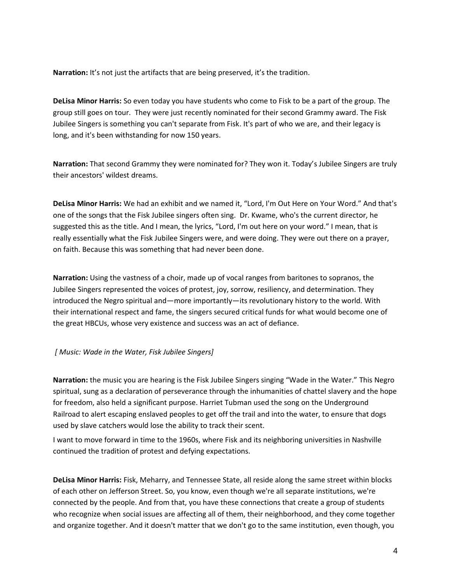**Narration:** It's not just the artifacts that are being preserved, it's the tradition.

**DeLisa Minor Harris:** So even today you have students who come to Fisk to be a part of the group. The group still goes on tour. They were just recently nominated for their second Grammy award. The Fisk Jubilee Singers is something you can't separate from Fisk. It's part of who we are, and their legacy is long, and it's been withstanding for now 150 years.

**Narration:** That second Grammy they were nominated for? They won it. Today's Jubilee Singers are truly their ancestors' wildest dreams.

**DeLisa Minor Harris:** We had an exhibit and we named it, "Lord, I'm Out Here on Your Word." And that's one of the songs that the Fisk Jubilee singers often sing. Dr. Kwame, who's the current director, he suggested this as the title. And I mean, the lyrics, "Lord, I'm out here on your word." I mean, that is really essentially what the Fisk Jubilee Singers were, and were doing. They were out there on a prayer, on faith. Because this was something that had never been done.

**Narration:** Using the vastness of a choir, made up of vocal ranges from baritones to sopranos, the Jubilee Singers represented the voices of protest, joy, sorrow, resiliency, and determination. They introduced the Negro spiritual and—more importantly—its revolutionary history to the world. With their international respect and fame, the singers secured critical funds for what would become one of the great HBCUs, whose very existence and success was an act of defiance.

## *[ Music: Wade in the Water, Fisk Jubilee Singers]*

**Narration:** the music you are hearing is the Fisk Jubilee Singers singing "Wade in the Water." This Negro spiritual, sung as a declaration of perseverance through the inhumanities of chattel slavery and the hope for freedom, also held a significant purpose. Harriet Tubman used the song on the Underground Railroad to alert escaping enslaved peoples to get off the trail and into the water, to ensure that dogs used by slave catchers would lose the ability to track their scent.

I want to move forward in time to the 1960s, where Fisk and its neighboring universities in Nashville continued the tradition of protest and defying expectations.

**DeLisa Minor Harris:** Fisk, Meharry, and Tennessee State, all reside along the same street within blocks of each other on Jefferson Street. So, you know, even though we're all separate institutions, we're connected by the people. And from that, you have these connections that create a group of students who recognize when social issues are affecting all of them, their neighborhood, and they come together and organize together. And it doesn't matter that we don't go to the same institution, even though, you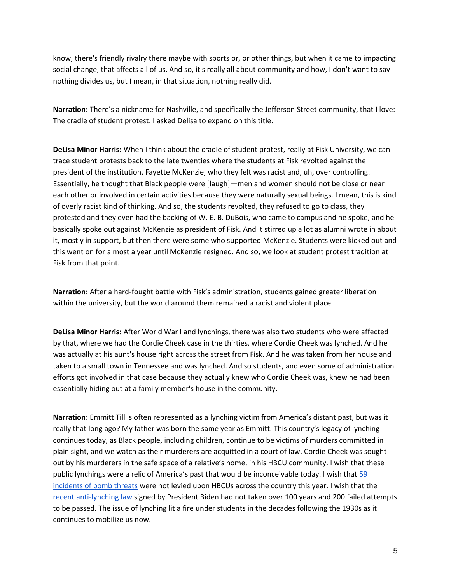know, there's friendly rivalry there maybe with sports or, or other things, but when it came to impacting social change, that affects all of us. And so, it's really all about community and how, I don't want to say nothing divides us, but I mean, in that situation, nothing really did.

**Narration:** There's a nickname for Nashville, and specifically the Jefferson Street community, that I love: The cradle of student protest. I asked Delisa to expand on this title.

**DeLisa Minor Harris:** When I think about the cradle of student protest, really at Fisk University, we can trace student protests back to the late twenties where the students at Fisk revolted against the president of the institution, Fayette McKenzie, who they felt was racist and, uh, over controlling. Essentially, he thought that Black people were [laugh]—men and women should not be close or near each other or involved in certain activities because they were naturally sexual beings. I mean, this is kind of overly racist kind of thinking. And so, the students revolted, they refused to go to class, they protested and they even had the backing of W. E. B. DuBois, who came to campus and he spoke, and he basically spoke out against McKenzie as president of Fisk. And it stirred up a lot as alumni wrote in about it, mostly in support, but then there were some who supported McKenzie. Students were kicked out and this went on for almost a year until McKenzie resigned. And so, we look at student protest tradition at Fisk from that point.

**Narration:** After a hard-fought battle with Fisk's administration, students gained greater liberation within the university, but the world around them remained a racist and violent place.

**DeLisa Minor Harris:** After World War I and lynchings, there was also two students who were affected by that, where we had the Cordie Cheek case in the thirties, where Cordie Cheek was lynched. And he was actually at his aunt's house right across the street from Fisk. And he was taken from her house and taken to a small town in Tennessee and was lynched. And so students, and even some of administration efforts got involved in that case because they actually knew who Cordie Cheek was, knew he had been essentially hiding out at a family member's house in the community.

**Narration:** Emmitt Till is often represented as a lynching victim from America's distant past, but was it really that long ago? My father was born the same year as Emmitt. This country's legacy of lynching continues today, as Black people, including children, continue to be victims of murders committed in plain sight, and we watch as their murderers are acquitted in a court of law. Cordie Cheek was sought out by his murderers in the safe space of a relative's home, in his HBCU community. I wish that these public lynchings were a relic of America's past that would be inconceivable today. I wish that [59](https://www.insidehighered.com/news/2022/04/08/hbcu-bomb-threats-take-toll-mental-health)  [incidents of bomb threats](https://www.insidehighered.com/news/2022/04/08/hbcu-bomb-threats-take-toll-mental-health) were not levied upon HBCUs across the country this year. I wish that the [recent anti-lynching law](https://www.npr.org/2022/03/08/1085094040/senate-passes-anti-lynching-bill-and-sends-federal-hate-crimes-legislation-to-bi) signed by President Biden had not taken over 100 years and 200 failed attempts to be passed. The issue of lynching lit a fire under students in the decades following the 1930s as it continues to mobilize us now.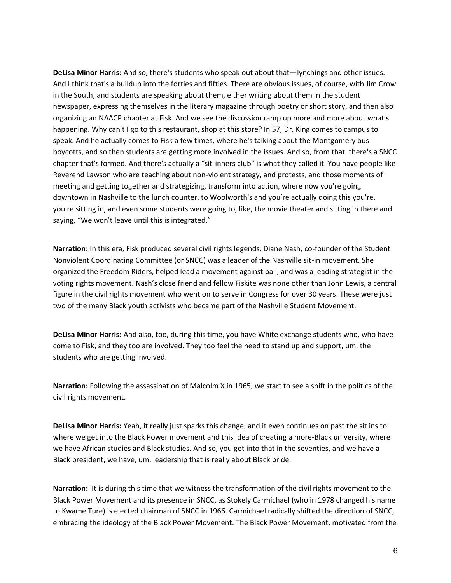**DeLisa Minor Harris:** And so, there's students who speak out about that—lynchings and other issues. And I think that's a buildup into the forties and fifties. There are obvious issues, of course, with Jim Crow in the South, and students are speaking about them, either writing about them in the student newspaper, expressing themselves in the literary magazine through poetry or short story, and then also organizing an NAACP chapter at Fisk. And we see the discussion ramp up more and more about what's happening. Why can't I go to this restaurant, shop at this store? In 57, Dr. King comes to campus to speak. And he actually comes to Fisk a few times, where he's talking about the Montgomery bus boycotts, and so then students are getting more involved in the issues. And so, from that, there's a SNCC chapter that's formed. And there's actually a "sit-inners club" is what they called it. You have people like Reverend Lawson who are teaching about non-violent strategy, and protests, and those moments of meeting and getting together and strategizing, transform into action, where now you're going downtown in Nashville to the lunch counter, to Woolworth's and you're actually doing this you're, you're sitting in, and even some students were going to, like, the movie theater and sitting in there and saying, "We won't leave until this is integrated."

**Narration:** In this era, Fisk produced several civil rights legends. Diane Nash, co-founder of the Student Nonviolent Coordinating Committee (or SNCC) was a leader of the Nashville sit-in movement. She organized the Freedom Riders, helped lead a movement against bail, and was a leading strategist in the voting rights movement. Nash's close friend and fellow Fiskite was none other than John Lewis, a central figure in the civil rights movement who went on to serve in Congress for over 30 years. These were just two of the many Black youth activists who became part of the Nashville Student Movement.

**DeLisa Minor Harris:** And also, too, during this time, you have White exchange students who, who have come to Fisk, and they too are involved. They too feel the need to stand up and support, um, the students who are getting involved.

**Narration:** Following the assassination of Malcolm X in 1965, we start to see a shift in the politics of the civil rights movement.

**DeLisa Minor Harris:** Yeah, it really just sparks this change, and it even continues on past the sit ins to where we get into the Black Power movement and this idea of creating a more-Black university, where we have African studies and Black studies. And so, you get into that in the seventies, and we have a Black president, we have, um, leadership that is really about Black pride.

**Narration:** It is during this time that we witness the transformation of the civil rights movement to the Black Power Movement and its presence in SNCC, as Stokely Carmichael (who in 1978 changed his name to Kwame Ture) is elected chairman of SNCC in 1966. Carmichael radically shifted the direction of SNCC, embracing the ideology of the Black Power Movement. The Black Power Movement, motivated from the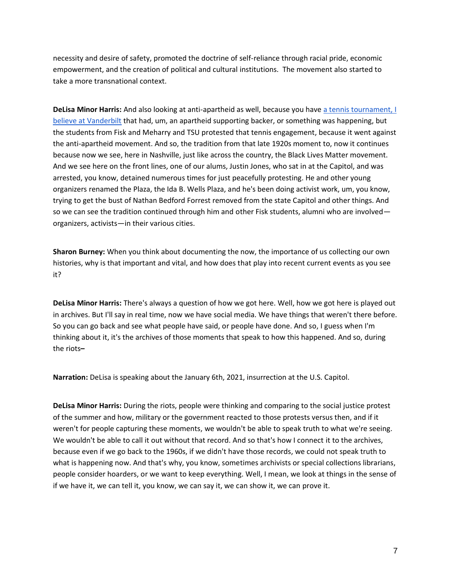necessity and desire of safety, promoted the doctrine of self-reliance through racial pride, economic empowerment, and the creation of political and cultural institutions. The movement also started to take a more transnational context.

**DeLisa Minor Harris:** And also looking at anti-apartheid as well, because you have a tennis tournament, I [believe at Vanderbilt](https://www.tennessean.com/picture-gallery/sports/2018/04/06/heated-protests-at-the-1978-davis-cup-of-us-vs-south-africa/33512311/) that had, um, an apartheid supporting backer, or something was happening, but the students from Fisk and Meharry and TSU protested that tennis engagement, because it went against the anti-apartheid movement. And so, the tradition from that late 1920s moment to, now it continues because now we see, here in Nashville, just like across the country, the Black Lives Matter movement. And we see here on the front lines, one of our alums, Justin Jones, who sat in at the Capitol, and was arrested, you know, detained numerous times for just peacefully protesting. He and other young organizers renamed the Plaza, the Ida B. Wells Plaza, and he's been doing activist work, um, you know, trying to get the bust of Nathan Bedford Forrest removed from the state Capitol and other things. And so we can see the tradition continued through him and other Fisk students, alumni who are involved organizers, activists—in their various cities.

**Sharon Burney:** When you think about documenting the now, the importance of us collecting our own histories, why is that important and vital, and how does that play into recent current events as you see it?

**DeLisa Minor Harris:** There's always a question of how we got here. Well, how we got here is played out in archives. But I'll say in real time, now we have social media. We have things that weren't there before. So you can go back and see what people have said, or people have done. And so, I guess when I'm thinking about it, it's the archives of those moments that speak to how this happened. And so, during the riots**–**

**Narration:** DeLisa is speaking about the January 6th, 2021, insurrection at the U.S. Capitol.

**DeLisa Minor Harris:** During the riots, people were thinking and comparing to the social justice protest of the summer and how, military or the government reacted to those protests versus then, and if it weren't for people capturing these moments, we wouldn't be able to speak truth to what we're seeing. We wouldn't be able to call it out without that record. And so that's how I connect it to the archives, because even if we go back to the 1960s, if we didn't have those records, we could not speak truth to what is happening now. And that's why, you know, sometimes archivists or special collections librarians, people consider hoarders, or we want to keep everything. Well, I mean, we look at things in the sense of if we have it, we can tell it, you know, we can say it, we can show it, we can prove it.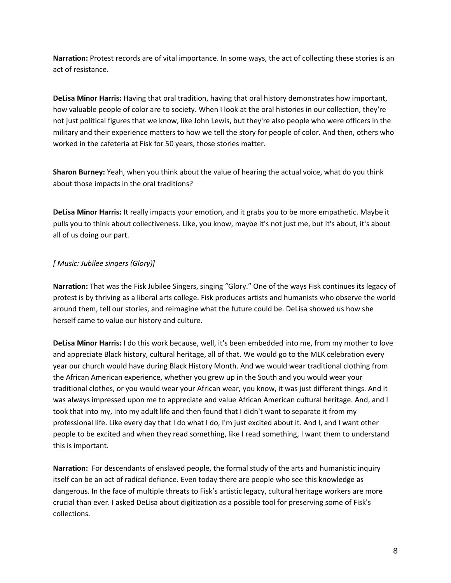**Narration:** Protest records are of vital importance. In some ways, the act of collecting these stories is an act of resistance.

**DeLisa Minor Harris:** Having that oral tradition, having that oral history demonstrates how important, how valuable people of color are to society. When I look at the oral histories in our collection, they're not just political figures that we know, like John Lewis, but they're also people who were officers in the military and their experience matters to how we tell the story for people of color. And then, others who worked in the cafeteria at Fisk for 50 years, those stories matter.

**Sharon Burney:** Yeah, when you think about the value of hearing the actual voice, what do you think about those impacts in the oral traditions?

**DeLisa Minor Harris:** It really impacts your emotion, and it grabs you to be more empathetic. Maybe it pulls you to think about collectiveness. Like, you know, maybe it's not just me, but it's about, it's about all of us doing our part.

## *[ Music: Jubilee singers (Glory)]*

**Narration:** That was the Fisk Jubilee Singers, singing "Glory." One of the ways Fisk continues its legacy of protest is by thriving as a liberal arts college. Fisk produces artists and humanists who observe the world around them, tell our stories, and reimagine what the future could be. DeLisa showed us how she herself came to value our history and culture.

**DeLisa Minor Harris:** I do this work because, well, it's been embedded into me, from my mother to love and appreciate Black history, cultural heritage, all of that. We would go to the MLK celebration every year our church would have during Black History Month. And we would wear traditional clothing from the African American experience, whether you grew up in the South and you would wear your traditional clothes, or you would wear your African wear, you know, it was just different things. And it was always impressed upon me to appreciate and value African American cultural heritage. And, and I took that into my, into my adult life and then found that I didn't want to separate it from my professional life. Like every day that I do what I do, I'm just excited about it. And I, and I want other people to be excited and when they read something, like I read something, I want them to understand this is important.

**Narration:** For descendants of enslaved people, the formal study of the arts and humanistic inquiry itself can be an act of radical defiance. Even today there are people who see this knowledge as dangerous. In the face of multiple threats to Fisk's artistic legacy, cultural heritage workers are more crucial than ever. I asked DeLisa about digitization as a possible tool for preserving some of Fisk's collections.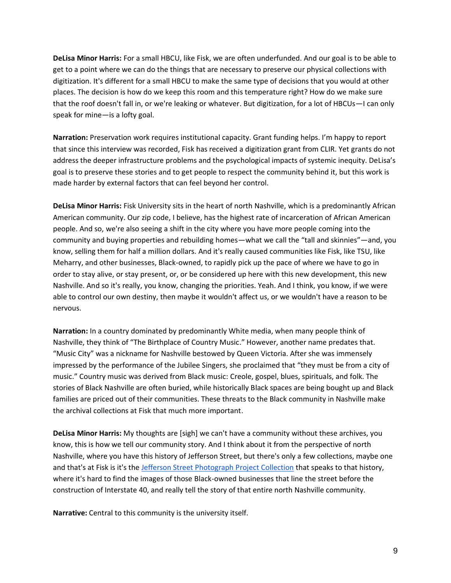**DeLisa Minor Harris:** For a small HBCU, like Fisk, we are often underfunded. And our goal is to be able to get to a point where we can do the things that are necessary to preserve our physical collections with digitization. It's different for a small HBCU to make the same type of decisions that you would at other places. The decision is how do we keep this room and this temperature right? How do we make sure that the roof doesn't fall in, or we're leaking or whatever. But digitization, for a lot of HBCUs—I can only speak for mine—is a lofty goal.

**Narration:** Preservation work requires institutional capacity. Grant funding helps. I'm happy to report that since this interview was recorded, Fisk has received a digitization grant from CLIR. Yet grants do not address the deeper infrastructure problems and the psychological impacts of systemic inequity. DeLisa's goal is to preserve these stories and to get people to respect the community behind it, but this work is made harder by external factors that can feel beyond her control.

**DeLisa Minor Harris:** Fisk University sits in the heart of north Nashville, which is a predominantly African American community. Our zip code, I believe, has the highest rate of incarceration of African American people. And so, we're also seeing a shift in the city where you have more people coming into the community and buying properties and rebuilding homes—what we call the "tall and skinnies"—and, you know, selling them for half a million dollars. And it's really caused communities like Fisk, like TSU, like Meharry, and other businesses, Black-owned, to rapidly pick up the pace of where we have to go in order to stay alive, or stay present, or, or be considered up here with this new development, this new Nashville. And so it's really, you know, changing the priorities. Yeah. And I think, you know, if we were able to control our own destiny, then maybe it wouldn't affect us, or we wouldn't have a reason to be nervous.

**Narration:** In a country dominated by predominantly White media, when many people think of Nashville, they think of "The Birthplace of Country Music." However, another name predates that. "Music City" was a nickname for Nashville bestowed by Queen Victoria. After she was immensely impressed by the performance of the Jubilee Singers, she proclaimed that "they must be from a city of music." Country music was derived from Black music: Creole, gospel, blues, spirituals, and folk. The stories of Black Nashville are often buried, while historically Black spaces are being bought up and Black families are priced out of their communities. These threats to the Black community in Nashville make the archival collections at Fisk that much more important.

**DeLisa Minor Harris:** My thoughts are [sigh] we can't have a community without these archives, you know, this is how we tell our community story. And I think about it from the perspective of north Nashville, where you have this history of Jefferson Street, but there's only a few collections, maybe one and that's at Fisk is it's the [Jefferson Street Photograph Project Collection](https://www.fisk.edu/wp-content/uploads/2020/06/jefferson-streetphotoprojectcollection1857-1982.pdf) that speaks to that history, where it's hard to find the images of those Black-owned businesses that line the street before the construction of Interstate 40, and really tell the story of that entire north Nashville community.

**Narrative:** Central to this community is the university itself.